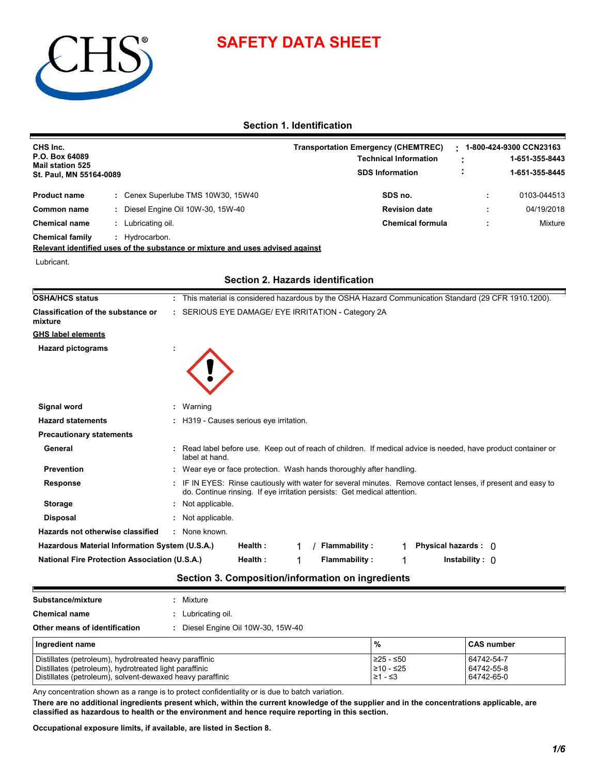

# **SAFETY DATA SHEET**

# **Section 1. Identification**

| CHS Inc.<br>P.O. Box 64089<br><b>Mail station 525</b><br>St. Paul, MN 55164-0089 |  |                                  | <b>Transportation Emergency (CHEMTREC)</b><br><b>Technical Information</b><br><b>SDS Information</b> | 1-800-424-9300 CCN23163<br>1-651-355-8443<br>1-651-355-8445 |             |
|----------------------------------------------------------------------------------|--|----------------------------------|------------------------------------------------------------------------------------------------------|-------------------------------------------------------------|-------------|
| <b>Product name</b>                                                              |  | Cenex Superlube TMS 10W30, 15W40 | SDS no.                                                                                              |                                                             | 0103-044513 |
| Common name                                                                      |  | Diesel Engine Oil 10W-30, 15W-40 | <b>Revision date</b>                                                                                 |                                                             | 04/19/2018  |
| <b>Chemical name</b>                                                             |  | Lubricating oil.                 | <b>Chemical formula</b>                                                                              |                                                             | Mixture     |
| <b>Chemical family</b>                                                           |  | Hydrocarbon.                     |                                                                                                      |                                                             |             |

**Relevant identified uses of the substance or mixture and uses advised against**

Lubricant.

| OSHA/HCS status                                      | : This material is considered hazardous by the OSHA Hazard Communication Standard (29 CFR 1910.1200).                                                                                  |  |  |  |  |
|------------------------------------------------------|----------------------------------------------------------------------------------------------------------------------------------------------------------------------------------------|--|--|--|--|
| Classification of the substance or<br>mixture        | : SERIOUS EYE DAMAGE/ EYE IRRITATION - Category 2A                                                                                                                                     |  |  |  |  |
| GHS label elements                                   |                                                                                                                                                                                        |  |  |  |  |
| <b>Hazard pictograms</b>                             |                                                                                                                                                                                        |  |  |  |  |
|                                                      |                                                                                                                                                                                        |  |  |  |  |
|                                                      |                                                                                                                                                                                        |  |  |  |  |
|                                                      |                                                                                                                                                                                        |  |  |  |  |
| Signal word                                          | : Warning                                                                                                                                                                              |  |  |  |  |
| <b>Hazard statements</b>                             | : H319 - Causes serious eve irritation.                                                                                                                                                |  |  |  |  |
| <b>Precautionary statements</b>                      |                                                                                                                                                                                        |  |  |  |  |
| General                                              | Read label before use. Keep out of reach of children. If medical advice is needed, have product container or<br>label at hand.                                                         |  |  |  |  |
| <b>Prevention</b>                                    | Wear eye or face protection. Wash hands thoroughly after handling.                                                                                                                     |  |  |  |  |
| <b>Response</b>                                      | IF IN EYES: Rinse cautiously with water for several minutes. Remove contact lenses, if present and easy to<br>do. Continue rinsing. If eye irritation persists: Get medical attention. |  |  |  |  |
| <b>Storage</b>                                       | Not applicable.                                                                                                                                                                        |  |  |  |  |
| <b>Disposal</b>                                      | : Not applicable.                                                                                                                                                                      |  |  |  |  |
| Hazards not otherwise classified                     | : None known.                                                                                                                                                                          |  |  |  |  |
| Hazardous Material Information System (U.S.A.)       | Health:<br><b>Flammability:</b><br>Physical hazards : $\theta$                                                                                                                         |  |  |  |  |
| <b>National Fire Protection Association (U.S.A.)</b> | Health:<br>Flammability:<br>$In stability: \theta$<br>1                                                                                                                                |  |  |  |  |
|                                                      |                                                                                                                                                                                        |  |  |  |  |

# **Section 2. Hazards identification**

| Section 3. Composition/information on ingredients |  |
|---------------------------------------------------|--|
|---------------------------------------------------|--|

| Substance/mixture                                                                                                                                                             | Mixture                          |                                     |                                        |  |  |  |
|-------------------------------------------------------------------------------------------------------------------------------------------------------------------------------|----------------------------------|-------------------------------------|----------------------------------------|--|--|--|
| <b>Chemical name</b>                                                                                                                                                          | Lubricating oil.                 |                                     |                                        |  |  |  |
| Other means of identification                                                                                                                                                 | Diesel Engine Oil 10W-30, 15W-40 |                                     |                                        |  |  |  |
| Ingredient name                                                                                                                                                               |                                  | $\%$                                | <b>CAS number</b>                      |  |  |  |
| Distillates (petroleum), hydrotreated heavy paraffinic<br>Distillates (petroleum), hydrotreated light paraffinic<br>Distillates (petroleum), solvent-dewaxed heavy paraffinic |                                  | ≥25 - ≤50<br>210 - ≤25<br>$≥1 - ≤3$ | 64742-54-7<br>64742-55-8<br>64742-65-0 |  |  |  |

Any concentration shown as a range is to protect confidentiality or is due to batch variation.

**There are no additional ingredients present which, within the current knowledge of the supplier and in the concentrations applicable, are classified as hazardous to health or the environment and hence require reporting in this section.**

**Occupational exposure limits, if available, are listed in Section 8.**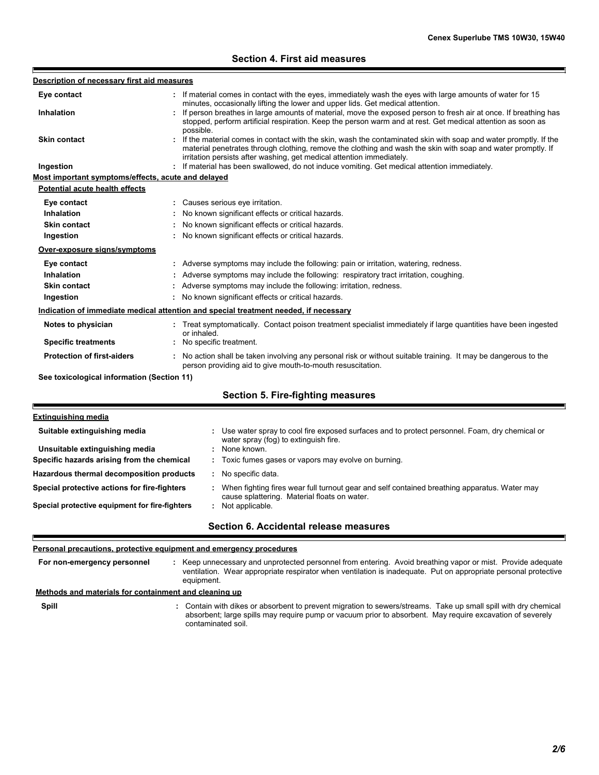# **Section 4. First aid measures**

| Description of necessary first aid measures        |                                                                                                                                                                                            |
|----------------------------------------------------|--------------------------------------------------------------------------------------------------------------------------------------------------------------------------------------------|
| Eye contact                                        | If material comes in contact with the eyes, immediately wash the eyes with large amounts of water for 15<br>minutes, occasionally lifting the lower and upper lids. Get medical attention. |
| <b>Inhalation</b>                                  | If person breathes in large amounts of material, move the exposed person to fresh air at once. If breathing has                                                                            |
|                                                    | stopped, perform artificial respiration. Keep the person warm and at rest. Get medical attention as soon as                                                                                |
| <b>Skin contact</b>                                | possible.<br>If the material comes in contact with the skin, wash the contaminated skin with soap and water promptly. If the                                                               |
|                                                    | material penetrates through clothing, remove the clothing and wash the skin with soap and water promptly. If                                                                               |
|                                                    | irritation persists after washing, get medical attention immediately.                                                                                                                      |
| Ingestion                                          | If material has been swallowed, do not induce vomiting. Get medical attention immediately.                                                                                                 |
| Most important symptoms/effects, acute and delayed |                                                                                                                                                                                            |
| <b>Potential acute health effects</b>              |                                                                                                                                                                                            |
| Eye contact                                        | : Causes serious eye irritation.                                                                                                                                                           |
| Inhalation                                         | No known significant effects or critical hazards.                                                                                                                                          |
| <b>Skin contact</b>                                | No known significant effects or critical hazards.                                                                                                                                          |
| Ingestion                                          | : No known significant effects or critical hazards.                                                                                                                                        |
| Over-exposure signs/symptoms                       |                                                                                                                                                                                            |
| Eye contact                                        | : Adverse symptoms may include the following: pain or irritation, watering, redness.                                                                                                       |
| Inhalation                                         | Adverse symptoms may include the following: respiratory tract irritation, coughing.                                                                                                        |
| <b>Skin contact</b>                                | Adverse symptoms may include the following: irritation, redness.                                                                                                                           |
| Ingestion                                          | : No known significant effects or critical hazards.                                                                                                                                        |
|                                                    | Indication of immediate medical attention and special treatment needed, if necessary                                                                                                       |
| Notes to physician                                 | : Treat symptomatically. Contact poison treatment specialist immediately if large quantities have been ingested                                                                            |
| <b>Specific treatments</b>                         | or inhaled.<br>: No specific treatment.                                                                                                                                                    |
| <b>Protection of first-aiders</b>                  | No action shall be taken involving any personal risk or without suitable training. It may be dangerous to the                                                                              |
|                                                    | person providing aid to give mouth-to-mouth resuscitation.                                                                                                                                 |
| See toxicological information (Section 11)         |                                                                                                                                                                                            |
|                                                    | <b>Section 5. Fire-fighting measures</b>                                                                                                                                                   |
|                                                    |                                                                                                                                                                                            |
| Extinguishing media                                |                                                                                                                                                                                            |

| Suitable extinguishing media                   | : Use water spray to cool fire exposed surfaces and to protect personnel. Foam, dry chemical or<br>water spray (fog) to extinguish fire.     |
|------------------------------------------------|----------------------------------------------------------------------------------------------------------------------------------------------|
| Unsuitable extinguishing media                 | : None known.                                                                                                                                |
| Specific hazards arising from the chemical     | : Toxic fumes gases or vapors may evolve on burning.                                                                                         |
| Hazardous thermal decomposition products       | No specific data.                                                                                                                            |
| Special protective actions for fire-fighters   | When fighting fires wear full turnout gear and self contained breathing apparatus. Water may<br>cause splattering. Material floats on water. |
| Special protective equipment for fire-fighters | Not applicable.                                                                                                                              |
|                                                | Section 6. Accidental release measures                                                                                                       |

### **Personal precautions, protective equipment and emergency procedures**

F

**Spill** Contain with dikes or absorbent to prevent migration to sewers/streams. Take up small spill with dry chemical **:** Keep unnecessary and unprotected personnel from entering. Avoid breathing vapor or mist. Provide adequate ventilation. Wear appropriate respirator when ventilation is inadequate. Put on appropriate personal protective equipment. **: Methods and materials for containment and cleaning up For non-emergency personnel**

absorbent; large spills may require pump or vacuum prior to absorbent. May require excavation of severely contaminated soil.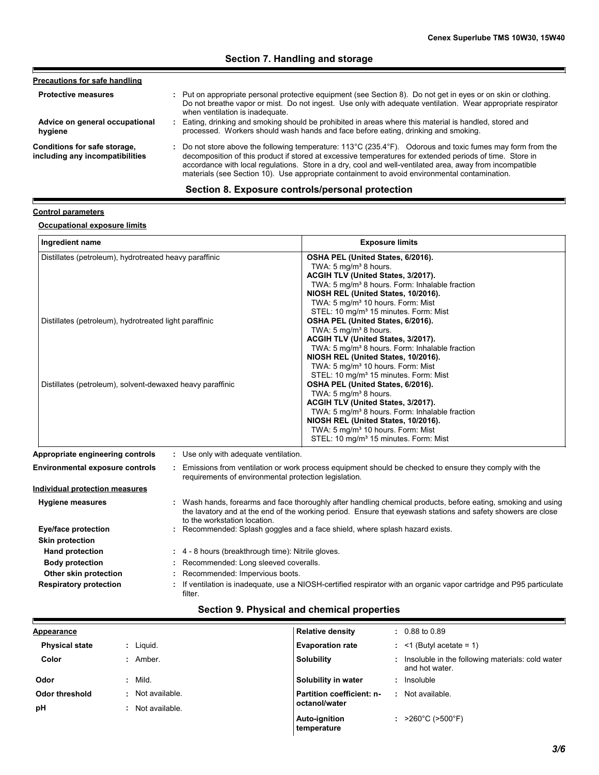#### **Advice on general occupational hygiene Conditions for safe storage, including any incompatibilities** Eating, drinking and smoking should be prohibited in areas where this material is handled, stored and **:** processed. Workers should wash hands and face before eating, drinking and smoking. Do not store above the following temperature: 113°C (235.4°F). Odorous and toxic fumes may form from the **:** decomposition of this product if stored at excessive temperatures for extended periods of time. Store in accordance with local regulations. Store in a dry, cool and well-ventilated area, away from incompatible materials (see Section 10). Use appropriate containment to avoid environmental contamination. **Protective measures Pult on appropriate personal protective equipment (see Section 8). Do not get in eyes or on skin or clothing.** Do not breathe vapor or mist. Do not ingest. Use only with adequate ventilation. Wear appropriate respirator **Precautions for safe handling**<br>**2. Put on appropriate personal protective erapy of the assures**<br>2. Do not breathe vapor or mist. Do not ing<br>2. when ventilation is inadequate.

### **Section 7. Handling and storage**

# **Section 8. Exposure controls/personal protection**

#### **Control parameters**

### **Occupational exposure limits**

| Ingredient name                                                                                                     | <b>Exposure limits</b>                                                                                                                                                                                                                                                                                                                                                                                                                                                                                                                                                                                                                                                                                  |  |  |  |  |
|---------------------------------------------------------------------------------------------------------------------|---------------------------------------------------------------------------------------------------------------------------------------------------------------------------------------------------------------------------------------------------------------------------------------------------------------------------------------------------------------------------------------------------------------------------------------------------------------------------------------------------------------------------------------------------------------------------------------------------------------------------------------------------------------------------------------------------------|--|--|--|--|
| Distillates (petroleum), hydrotreated heavy paraffinic                                                              | OSHA PEL (United States, 6/2016).<br>TWA: 5 mg/m <sup>3</sup> 8 hours.<br>ACGIH TLV (United States, 3/2017).<br>TWA: 5 mg/m <sup>3</sup> 8 hours. Form: Inhalable fraction<br>NIOSH REL (United States, 10/2016).<br>TWA: 5 mg/m <sup>3</sup> 10 hours. Form: Mist                                                                                                                                                                                                                                                                                                                                                                                                                                      |  |  |  |  |
| Distillates (petroleum), hydrotreated light paraffinic<br>Distillates (petroleum), solvent-dewaxed heavy paraffinic | STEL: 10 mg/m <sup>3</sup> 15 minutes. Form: Mist<br>OSHA PEL (United States, 6/2016).<br>TWA: 5 mg/m <sup>3</sup> 8 hours.<br>ACGIH TLV (United States, 3/2017).<br>TWA: 5 mg/m <sup>3</sup> 8 hours. Form: Inhalable fraction<br>NIOSH REL (United States, 10/2016).<br>TWA: 5 mg/m <sup>3</sup> 10 hours. Form: Mist<br>STEL: 10 mg/m <sup>3</sup> 15 minutes. Form: Mist<br>OSHA PEL (United States, 6/2016).<br>TWA: 5 mg/m <sup>3</sup> 8 hours.<br>ACGIH TLV (United States, 3/2017).<br>TWA: 5 mg/m <sup>3</sup> 8 hours. Form: Inhalable fraction<br>NIOSH REL (United States, 10/2016).<br>TWA: 5 mg/m <sup>3</sup> 10 hours. Form: Mist<br>STEL: 10 mg/m <sup>3</sup> 15 minutes. Form: Mist |  |  |  |  |
| Appropriate engineering controls                                                                                    | Use only with adequate ventilation.                                                                                                                                                                                                                                                                                                                                                                                                                                                                                                                                                                                                                                                                     |  |  |  |  |
| <b>Environmental exposure controls</b>                                                                              | Emissions from ventilation or work process equipment should be checked to ensure they comply with the<br>requirements of environmental protection legislation.                                                                                                                                                                                                                                                                                                                                                                                                                                                                                                                                          |  |  |  |  |
| Individual protection measures                                                                                      |                                                                                                                                                                                                                                                                                                                                                                                                                                                                                                                                                                                                                                                                                                         |  |  |  |  |
| <b>Hygiene measures</b>                                                                                             | : Wash hands, forearms and face thoroughly after handling chemical products, before eating, smoking and using<br>the lavatory and at the end of the working period. Ensure that eyewash stations and safety showers are close<br>to the workstation location.                                                                                                                                                                                                                                                                                                                                                                                                                                           |  |  |  |  |
| Eye/face protection                                                                                                 | Recommended: Splash goggles and a face shield, where splash hazard exists.                                                                                                                                                                                                                                                                                                                                                                                                                                                                                                                                                                                                                              |  |  |  |  |
| <b>Skin protection</b>                                                                                              |                                                                                                                                                                                                                                                                                                                                                                                                                                                                                                                                                                                                                                                                                                         |  |  |  |  |
| <b>Hand protection</b>                                                                                              | : 4 - 8 hours (breakthrough time): Nitrile gloves.                                                                                                                                                                                                                                                                                                                                                                                                                                                                                                                                                                                                                                                      |  |  |  |  |
| <b>Body protection</b>                                                                                              | Recommended: Long sleeved coveralls.                                                                                                                                                                                                                                                                                                                                                                                                                                                                                                                                                                                                                                                                    |  |  |  |  |
| Other skin protection                                                                                               | Recommended: Impervious boots.                                                                                                                                                                                                                                                                                                                                                                                                                                                                                                                                                                                                                                                                          |  |  |  |  |
| <b>Respiratory protection</b>                                                                                       | If ventilation is inadequate, use a NIOSH-certified respirator with an organic vapor cartridge and P95 particulate                                                                                                                                                                                                                                                                                                                                                                                                                                                                                                                                                                                      |  |  |  |  |

# **Section 9. Physical and chemical properties**

filter.

| <b>Appearance</b>     |                | <b>Relative density</b>      |    | $: 0.88$ to 0.89                                                   |
|-----------------------|----------------|------------------------------|----|--------------------------------------------------------------------|
| <b>Physical state</b> | Liguid.        | <b>Evaporation rate</b>      |    | $:$ <1 (Butyl acetate = 1)                                         |
| Color                 | Amber.         | <b>Solubility</b>            | ÷. | Insoluble in the following materials: cold water<br>and hot water. |
| Odor                  | Mild.          | Solubility in water          |    | : Insoluble                                                        |
| Odor threshold        | Not available. | Partition coefficient: n-    |    | : Not available.                                                   |
| pH                    | Not available. | octanol/water                |    |                                                                    |
|                       |                | Auto-ignition<br>temperature |    | : $>260^{\circ}$ C ( $>500^{\circ}$ F)                             |
|                       |                |                              |    |                                                                    |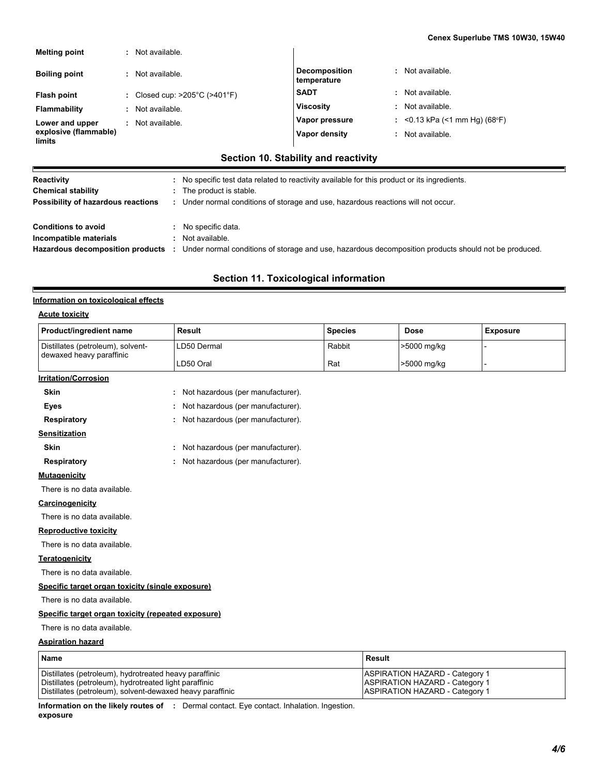| <b>Melting point</b>            | Not available.                                     |                                     |                               |
|---------------------------------|----------------------------------------------------|-------------------------------------|-------------------------------|
| <b>Boiling point</b>            | Not available.                                     | <b>Decomposition</b><br>temperature | : Not available.              |
| Flash point                     | : Closed cup: $>205^{\circ}$ C ( $>401^{\circ}$ F) | <b>SADT</b>                         | : Not available.              |
| Flammability                    | Not available.                                     | <b>Viscosity</b>                    | : Not available.              |
| Lower and upper                 | Not available.                                     | Vapor pressure                      | : <0.13 kPa (<1 mm Hg) (68°F) |
| explosive (flammable)<br>limits |                                                    | Vapor density                       | : Not available.              |

# **Section 10. Stability and reactivity**

| Reactivity                         | No specific test data related to reactivity available for this product or its ingredients.           |
|------------------------------------|------------------------------------------------------------------------------------------------------|
| <b>Chemical stability</b>          | The product is stable.                                                                               |
| Possibility of hazardous reactions | Under normal conditions of storage and use, hazardous reactions will not occur.                      |
|                                    |                                                                                                      |
| <b>Conditions to avoid</b>         | No specific data.                                                                                    |
| Incompatible materials             | Not available.                                                                                       |
| Hazardous decomposition products : | Under normal conditions of storage and use, hazardous decomposition products should not be produced. |
|                                    |                                                                                                      |

# **Section 11. Toxicological information**

### **Information on toxicological effects**

### **Acute toxicity**

E

| Product/ingredient name                            | <b>Result</b>                     | <b>Species</b> | <b>Dose</b> | <b>Exposure</b> |  |  |  |  |
|----------------------------------------------------|-----------------------------------|----------------|-------------|-----------------|--|--|--|--|
| Distillates (petroleum), solvent-                  | LD50 Dermal                       | Rabbit         | >5000 mg/kg |                 |  |  |  |  |
| dewaxed heavy paraffinic                           | LD50 Oral                         | Rat            | >5000 mg/kg |                 |  |  |  |  |
| <b>Irritation/Corrosion</b>                        |                                   |                |             |                 |  |  |  |  |
| <b>Skin</b>                                        | Not hazardous (per manufacturer). |                |             |                 |  |  |  |  |
| <b>Eyes</b>                                        | Not hazardous (per manufacturer). |                |             |                 |  |  |  |  |
| <b>Respiratory</b>                                 | Not hazardous (per manufacturer). |                |             |                 |  |  |  |  |
| <b>Sensitization</b>                               |                                   |                |             |                 |  |  |  |  |
| <b>Skin</b>                                        | Not hazardous (per manufacturer). |                |             |                 |  |  |  |  |
| Respiratory                                        | Not hazardous (per manufacturer). |                |             |                 |  |  |  |  |
| <b>Mutagenicity</b>                                |                                   |                |             |                 |  |  |  |  |
| There is no data available.                        |                                   |                |             |                 |  |  |  |  |
| Carcinogenicity                                    |                                   |                |             |                 |  |  |  |  |
| There is no data available.                        |                                   |                |             |                 |  |  |  |  |
| <b>Reproductive toxicity</b>                       |                                   |                |             |                 |  |  |  |  |
| There is no data available.                        |                                   |                |             |                 |  |  |  |  |
| <b>Teratogenicity</b>                              |                                   |                |             |                 |  |  |  |  |
| There is no data available.                        |                                   |                |             |                 |  |  |  |  |
| Specific target organ toxicity (single exposure)   |                                   |                |             |                 |  |  |  |  |
| There is no data available.                        |                                   |                |             |                 |  |  |  |  |
| Specific target organ toxicity (repeated exposure) |                                   |                |             |                 |  |  |  |  |
| There is no data available.                        |                                   |                |             |                 |  |  |  |  |
| <b>Aspiration hazard</b>                           |                                   |                |             |                 |  |  |  |  |
|                                                    |                                   |                | $\sim$      |                 |  |  |  |  |

| <b>Name</b>                                               | Result                                |
|-----------------------------------------------------------|---------------------------------------|
| Distillates (petroleum), hydrotreated heavy paraffinic    | <b>ASPIRATION HAZARD - Category 1</b> |
| Distillates (petroleum), hydrotreated light paraffinic    | ASPIRATION HAZARD - Category 1        |
| Distillates (petroleum), solvent-dewaxed heavy paraffinic | ASPIRATION HAZARD - Category 1        |

**Information on the likely routes of :** Dermal contact. Eye contact. Inhalation. Ingestion. **exposure**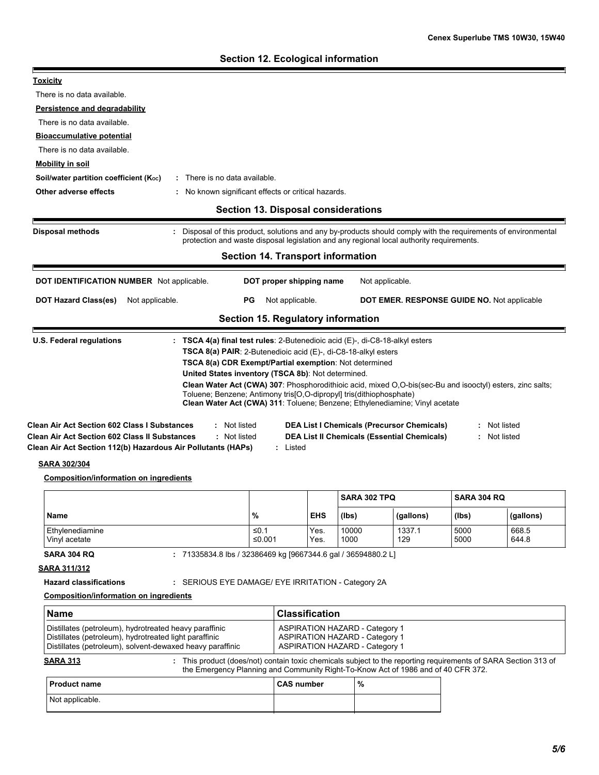h

| <b>Toxicity</b>                                                                                                                                                                                                                                     |                                                                                                                                                                                                                                                                                                 |                       |                                                                                                                         |                                                                                                         |              |                              |
|-----------------------------------------------------------------------------------------------------------------------------------------------------------------------------------------------------------------------------------------------------|-------------------------------------------------------------------------------------------------------------------------------------------------------------------------------------------------------------------------------------------------------------------------------------------------|-----------------------|-------------------------------------------------------------------------------------------------------------------------|---------------------------------------------------------------------------------------------------------|--------------|------------------------------|
| There is no data available.                                                                                                                                                                                                                         |                                                                                                                                                                                                                                                                                                 |                       |                                                                                                                         |                                                                                                         |              |                              |
| Persistence and degradability                                                                                                                                                                                                                       |                                                                                                                                                                                                                                                                                                 |                       |                                                                                                                         |                                                                                                         |              |                              |
| There is no data available.                                                                                                                                                                                                                         |                                                                                                                                                                                                                                                                                                 |                       |                                                                                                                         |                                                                                                         |              |                              |
| <b>Bioaccumulative potential</b>                                                                                                                                                                                                                    |                                                                                                                                                                                                                                                                                                 |                       |                                                                                                                         |                                                                                                         |              |                              |
| There is no data available.                                                                                                                                                                                                                         |                                                                                                                                                                                                                                                                                                 |                       |                                                                                                                         |                                                                                                         |              |                              |
| <b>Mobility in soil</b>                                                                                                                                                                                                                             |                                                                                                                                                                                                                                                                                                 |                       |                                                                                                                         |                                                                                                         |              |                              |
| Soil/water partition coefficient (Koc)                                                                                                                                                                                                              | : There is no data available.                                                                                                                                                                                                                                                                   |                       |                                                                                                                         |                                                                                                         |              |                              |
| Other adverse effects                                                                                                                                                                                                                               | : No known significant effects or critical hazards.                                                                                                                                                                                                                                             |                       |                                                                                                                         |                                                                                                         |              |                              |
|                                                                                                                                                                                                                                                     | <b>Section 13. Disposal considerations</b>                                                                                                                                                                                                                                                      |                       |                                                                                                                         |                                                                                                         |              |                              |
| <b>Disposal methods</b>                                                                                                                                                                                                                             | Disposal of this product, solutions and any by-products should comply with the requirements of environmental<br>protection and waste disposal legislation and any regional local authority requirements.                                                                                        |                       |                                                                                                                         |                                                                                                         |              |                              |
|                                                                                                                                                                                                                                                     | <b>Section 14. Transport information</b>                                                                                                                                                                                                                                                        |                       |                                                                                                                         |                                                                                                         |              |                              |
| DOT IDENTIFICATION NUMBER Not applicable.                                                                                                                                                                                                           | DOT proper shipping name                                                                                                                                                                                                                                                                        |                       |                                                                                                                         | Not applicable.                                                                                         |              |                              |
| Not applicable.<br><b>DOT Hazard Class(es)</b><br>Not applicable.<br>РG<br>DOT EMER. RESPONSE GUIDE NO. Not applicable                                                                                                                              |                                                                                                                                                                                                                                                                                                 |                       |                                                                                                                         |                                                                                                         |              |                              |
|                                                                                                                                                                                                                                                     | Section 15. Regulatory information                                                                                                                                                                                                                                                              |                       |                                                                                                                         |                                                                                                         |              |                              |
|                                                                                                                                                                                                                                                     |                                                                                                                                                                                                                                                                                                 |                       |                                                                                                                         |                                                                                                         |              |                              |
|                                                                                                                                                                                                                                                     | TSCA 8(a) PAIR: 2-Butenedioic acid (E)-, di-C8-18-alkyl esters<br>TSCA 8(a) CDR Exempt/Partial exemption: Not determined<br>United States inventory (TSCA 8b): Not determined.                                                                                                                  |                       |                                                                                                                         |                                                                                                         |              |                              |
| <b>Clean Air Act Section 602 Class I Substances</b><br><b>Clean Air Act Section 602 Class II Substances</b><br>Clean Air Act Section 112(b) Hazardous Air Pollutants (HAPs)<br><b>SARA 302/304</b><br><b>Composition/information on ingredients</b> | Clean Water Act (CWA) 307: Phosphorodithioic acid, mixed O,O-bis(sec-Bu and isooctyl) esters, zinc salts;<br>Toluene; Benzene; Antimony tris[O,O-dipropyl] tris(dithiophosphate)<br>Clean Water Act (CWA) 311: Toluene; Benzene; Ethylenediamine; Vinyl acetate<br>: Not listed<br>: Not listed | Listed                |                                                                                                                         | <b>DEA List I Chemicals (Precursor Chemicals)</b><br><b>DEA List II Chemicals (Essential Chemicals)</b> |              | : Not listed<br>: Not listed |
|                                                                                                                                                                                                                                                     |                                                                                                                                                                                                                                                                                                 |                       | SARA 302 TPQ                                                                                                            |                                                                                                         | SARA 304 RQ  |                              |
| <b>Name</b>                                                                                                                                                                                                                                         | %                                                                                                                                                                                                                                                                                               | <b>EHS</b>            | (lbs)                                                                                                                   | (gallons)                                                                                               | (Ibs)        | (gallons)                    |
| Ethylenediamine<br>Vinyl acetate                                                                                                                                                                                                                    | ≤0.1<br>≤0.001                                                                                                                                                                                                                                                                                  | Yes.<br>Yes.          | 10000<br>1000                                                                                                           | 1337.1<br>129                                                                                           | 5000<br>5000 | 668.5<br>644.8               |
| <b>SARA 304 RQ</b><br><u>SARA 311/312</u><br><b>Hazard classifications</b><br><b>Composition/information on ingredients</b>                                                                                                                         | : 71335834.8 lbs / 32386469 kg [9667344.6 gal / 36594880.2 L]<br>: SERIOUS EYE DAMAGE/ EYE IRRITATION - Category 2A                                                                                                                                                                             |                       |                                                                                                                         |                                                                                                         |              |                              |
|                                                                                                                                                                                                                                                     |                                                                                                                                                                                                                                                                                                 |                       |                                                                                                                         |                                                                                                         |              |                              |
| <b>Name</b><br>Distillates (petroleum), hydrotreated heavy paraffinic<br>Distillates (petroleum), hydrotreated light paraffinic<br>Distillates (petroleum), solvent-dewaxed heavy paraffinic                                                        |                                                                                                                                                                                                                                                                                                 | <b>Classification</b> | <b>ASPIRATION HAZARD - Category 1</b><br><b>ASPIRATION HAZARD - Category 1</b><br><b>ASPIRATION HAZARD - Category 1</b> |                                                                                                         |              |                              |
| <b>SARA 313</b>                                                                                                                                                                                                                                     | : This product (does/not) contain toxic chemicals subject to the reporting requirements of SARA Section 313 of<br>the Emergency Planning and Community Right-To-Know Act of 1986 and of 40 CFR 372.                                                                                             |                       |                                                                                                                         |                                                                                                         |              |                              |
| <b>Product name</b>                                                                                                                                                                                                                                 |                                                                                                                                                                                                                                                                                                 | <b>CAS number</b>     | $\%$                                                                                                                    |                                                                                                         |              |                              |